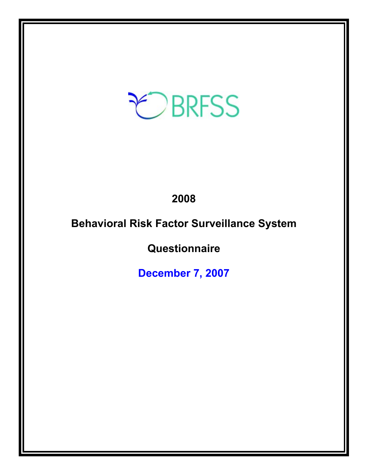# EBRFSS

## **2008**

# **Behavioral Risk Factor Surveillance System**

# **Questionnaire**

**December 7, 2007**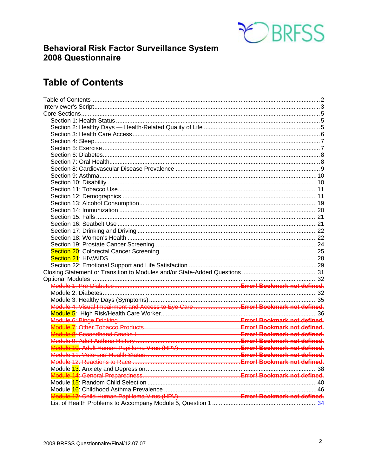

### **Behavioral Risk Factor Surveillance System** 2008 Questionnaire

### **Table of Contents**

| Module 4: Visual Impairment and Access to Eye Care  Errorl Bookmark not defined. |  |
|----------------------------------------------------------------------------------|--|
|                                                                                  |  |
|                                                                                  |  |
|                                                                                  |  |
| Module 8: Secondhand Smoke I ……………………………………………………Errorl Bookmark not defined.    |  |
|                                                                                  |  |
|                                                                                  |  |
|                                                                                  |  |
|                                                                                  |  |
|                                                                                  |  |
|                                                                                  |  |
|                                                                                  |  |
|                                                                                  |  |
|                                                                                  |  |
|                                                                                  |  |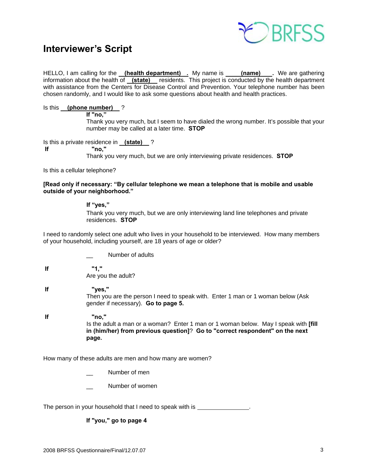

### **Interviewer's Script**

HELLO, I am calling for the **(health department)** . My name is **(name)** Ne are gathering information about the health of **(state)** residents. This project is conducted by the health department with assistance from the Centers for Disease Control and Prevention. Your telephone number has been chosen randomly, and I would like to ask some questions about health and health practices.

### Is this **(phone number)** ?

**If "no,"** 

 Thank you very much, but I seem to have dialed the wrong number. It's possible that your number may be called at a later time. **STOP**

Is this a private residence in **(state)** ?  **If "no,"**

Thank you very much, but we are only interviewing private residences. **STOP**

Is this a cellular telephone?

### **[Read only if necessary: "By cellular telephone we mean a telephone that is mobile and usable outside of your neighborhood."**

### **If "yes,"**

Thank you very much, but we are only interviewing land line telephones and private residences. **STOP** 

I need to randomly select one adult who lives in your household to be interviewed. How many members of your household, including yourself, are 18 years of age or older?

- Number of adults
- **If "1,"**  Are you the adult?
- **If "yes,"**  Then you are the person I need to speak with. Enter 1 man or 1 woman below (Ask gender if necessary). **Go to page 5.**

 **If "no,"**  Is the adult a man or a woman? Enter 1 man or 1 woman below. May I speak with **[fill in (him/her) from previous question]**? **Go to "correct respondent" on the next page.**

How many of these adults are men and how many are women?

- Number of men
- Number of women

The person in your household that I need to speak with is .......................

### **If "you," go to page 4**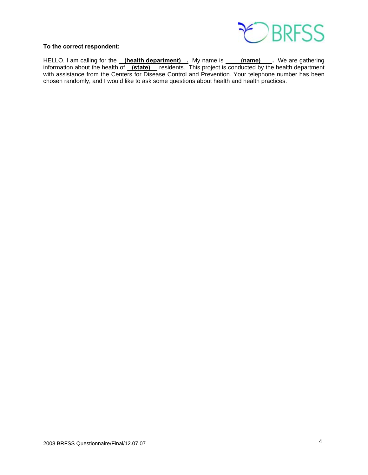

### **To the correct respondent:**

HELLO, I am calling for the **(health department)** . My name is **(name)** . We are gathering information about the health of **(state)** residents. This project is conducted by the health department with assistance from the Centers for Disease Control and Prevention. Your telephone number has been chosen randomly, and I would like to ask some questions about health and health practices.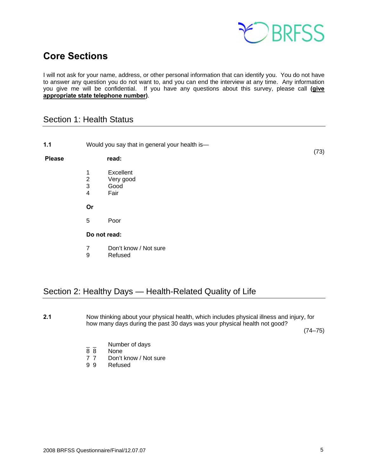

### **Core Sections**

I will not ask for your name, address, or other personal information that can identify you. You do not have to answer any question you do not want to, and you can end the interview at any time. Any information you give me will be confidential. If you have any questions about this survey, please call **(give appropriate state telephone number)**.

### Section 1: Health Status

| 1.1           |                                      | Would you say that in general your health is- |      |
|---------------|--------------------------------------|-----------------------------------------------|------|
| <b>Please</b> |                                      | read:                                         | (73) |
|               | 1<br>$\frac{2}{3}$<br>$\overline{4}$ | Excellent<br>Very good<br>Good<br>Fair        |      |
|               | Or                                   |                                               |      |
|               | 5                                    | Poor                                          |      |
|               |                                      | Do not read:                                  |      |
|               | 7<br>9                               | Don't know / Not sure<br>Refused              |      |

### Section 2: Healthy Days — Health-Related Quality of Life

**2.1** Now thinking about your physical health, which includes physical illness and injury, for how many days during the past 30 days was your physical health not good?

 $(74-75)$ 

- $\frac{1}{8}$   $\frac{1}{8}$  Number of days
- None
- 7 7 Don't know / Not sure<br>9 9 Refused
- **Refused**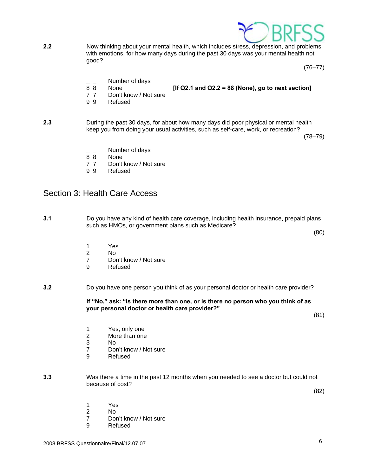

**2.2** Now thinking about your mental health, which includes stress, depression, and problems with emotions, for how many days during the past 30 days was your mental health not good?

 $(76 - 77)$ 

- $\frac{1}{8}$   $\frac{1}{8}$  Number of days
	- None *If Q2.1 and Q2.2 = 88 (None), go to next section]*
- 
- 7 7 Don't know / Not sure
- 9 9 Refused
- **2.3** During the past 30 days, for about how many days did poor physical or mental health keep you from doing your usual activities, such as self-care, work, or recreation?

 $(78-79)$ 

- Number of days
- 8 8 None
- 7 7 Don't know / Not sure
- 9 9 Refused

### Section 3: Health Care Access

**3.1** Do you have any kind of health care coverage, including health insurance, prepaid plans such as HMOs, or government plans such as Medicare?

(80)

- 
- 1 Yes<br>2 No 2 No
	- 7 Don't know / Not sure<br>9 Refused
	- **Refused**
- **3.2** Do you have one person you think of as your personal doctor or health care provider?

 **If "No," ask: "Is there more than one, or is there no person who you think of as your personal doctor or health care provider?"** 

(81)

- 1 Yes, only one
- 2 More than one
- 3 No
	- 7 Don't know / Not sure
	- 9 Refused
- **3.3** Was there a time in the past 12 months when you needed to see a doctor but could not because of cost?

(82)

- 1 Yes
- 2 No
	- 7 Don't know / Not sure
	- 9 Refused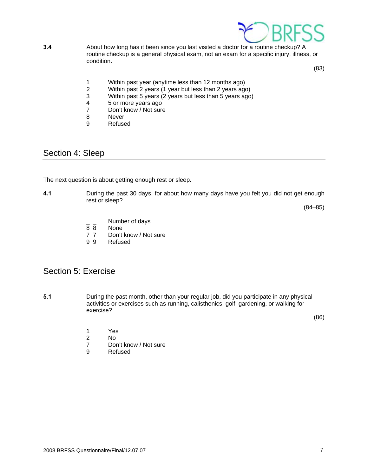

**3.4** About how long has it been since you last visited a doctor for a routine checkup? A routine checkup is a general physical exam, not an exam for a specific injury, illness, or condition.

(83)

- 1 Within past year (anytime less than 12 months ago)<br>2 Within past 2 years (1 year but less than 2 years ago
- 2 Within past 2 years (1 year but less than 2 years ago)<br>3 Within past 5 years (2 years but less than 5 years ago
- Within past 5 years (2 years but less than 5 years ago)
- 4 5 or more years ago<br>
7 Don't know / Not sure
- 7 Don't know / Not sure<br>8 Never
- **Never**
- 9 Refused

### Section 4: Sleep

The next question is about getting enough rest or sleep.

**4.1** During the past 30 days, for about how many days have you felt you did not get enough rest or sleep?

(84–85)

- $\frac{1}{8}$   $\frac{1}{8}$  Number of days
- 8 8 None<br>7 7 Don't
- 7 7 Don't know / Not sure<br>9 9 Refused
- **Refused**

### Section 5: Exercise

**5.1** During the past month, other than your regular job, did you participate in any physical activities or exercises such as running, calisthenics, golf, gardening, or walking for exercise?

 $(86)$ 

- 1 Yes
- 2 No
	- 7 Don't know / Not sure
	- 9 Refused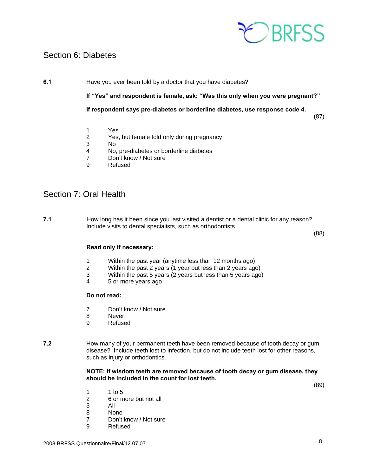

### Section 6: Diabetes

**6.1** Have you ever been told by a doctor that you have diabetes?

**If "Yes" and respondent is female, ask: "Was this only when you were pregnant?"** 

**If respondent says pre-diabetes or borderline diabetes, use response code 4.** 

(87)

- 1 Yes
- 2 Yes, but female told only during pregnancy
- 3 No
- 4 No, pre-diabetes or borderline diabetes
- 7 Don't know / Not sure
- 9 Refused

### Section 7: Oral Health

**7.1** How long has it been since you last visited a dentist or a dental clinic for any reason? Include visits to dental specialists, such as orthodontists.

(88)

### **Read only if necessary:**

- 1 Within the past year (anytime less than 12 months ago)
- 2 Within the past 2 years (1 year but less than 2 years ago)
- Within the past 5 years (2 years but less than 5 years ago)
- 4 5 or more years ago

### **Do not read:**

- 7 Don't know / Not sure
- 8 Never
- 9 Refused
- **7.2** How many of your permanent teeth have been removed because of tooth decay or gum disease? Include teeth lost to infection, but do not include teeth lost for other reasons, such as injury or orthodontics.

### **NOTE: If wisdom teeth are removed because of tooth decay or gum disease, they should be included in the count for lost teeth.**

(89)

- 1 1 to 5
- 2 6 or more but not all
- 3 All
	- 8 None
	- 7 Don't know / Not sure
	- 9 Refused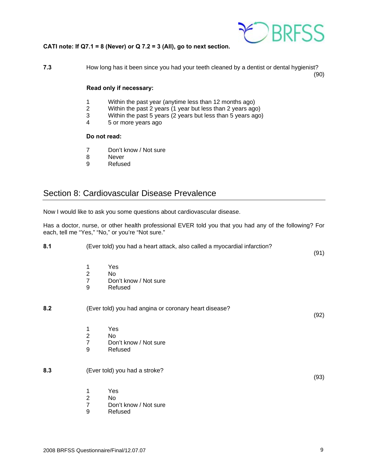

### **CATI note: If Q7.1 = 8 (Never) or Q 7.2 = 3 (All), go to next section.**

**7.3** How long has it been since you had your teeth cleaned by a dentist or dental hygienist? (90)

### **Read only if necessary:**

- 1 Within the past year (anytime less than 12 months ago)
- 2 Within the past 2 years (1 year but less than 2 years ago)
- 3 Within the past 5 years (2 years but less than 5 years ago)<br>4 5 or more years ago
- 5 or more years ago

### **Do not read:**

- 7 Don't know / Not sure
- 8 Never
- 9 Refused

### Section 8: Cardiovascular Disease Prevalence

Now I would like to ask you some questions about cardiovascular disease.

Has a doctor, nurse, or other health professional EVER told you that you had any of the following? For each, tell me "Yes," "No," or you're "Not sure."

| 8.1 | (Ever told) you had a heart attack, also called a myocardial infarction? |                                                       | (91) |
|-----|--------------------------------------------------------------------------|-------------------------------------------------------|------|
|     | 1<br>$\overline{2}$<br>$\overline{7}$<br>$\boldsymbol{9}$                | Yes<br>No<br>Don't know / Not sure<br>Refused         |      |
| 8.2 |                                                                          | (Ever told) you had angina or coronary heart disease? | (92) |
|     | 1<br>$\overline{2}$<br>$\overline{7}$<br>$\boldsymbol{9}$                | Yes<br>No<br>Don't know / Not sure<br>Refused         |      |
| 8.3 |                                                                          | (Ever told) you had a stroke?                         | (93) |
|     | 1<br>$\overline{2}$<br>$\overline{7}$<br>9                               | Yes<br>No.<br>Don't know / Not sure<br>Refused        |      |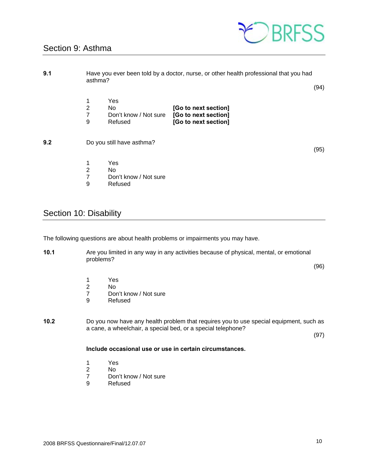### Section 9: Asthma



| 9.1 | Have you ever been told by a doctor, nurse, or other health professional that you had<br>asthma? |                                                |                                                                      |      |
|-----|--------------------------------------------------------------------------------------------------|------------------------------------------------|----------------------------------------------------------------------|------|
|     | $\overline{2}$<br>7<br>9                                                                         | Yes<br>No.<br>Don't know / Not sure<br>Refused | [Go to next section]<br>[Go to next section]<br>[Go to next section] | (94) |
| 9.2 |                                                                                                  | Do you still have asthma?                      |                                                                      | (95) |
|     | $\overline{2}$<br>7<br>9                                                                         | Yes<br>No.<br>Don't know / Not sure<br>Refused |                                                                      |      |

### Section 10: Disability

The following questions are about health problems or impairments you may have.

**10.1** Are you limited in any way in any activities because of physical, mental, or emotional problems?

(96)

- 1 Yes<br>2 No
- 2 No<br>7 Dor
- 7 Don't know / Not sure<br>9 Refused
- **Refused**
- **10.2** Do you now have any health problem that requires you to use special equipment, such as a cane, a wheelchair, a special bed, or a special telephone?

(97)

### **Include occasional use or use in certain circumstances.**

- 
- 1 Yes<br>2 No
- 2 No<br>7 Dor 7 Don't know / Not sure<br>9 Refused
- **Refused**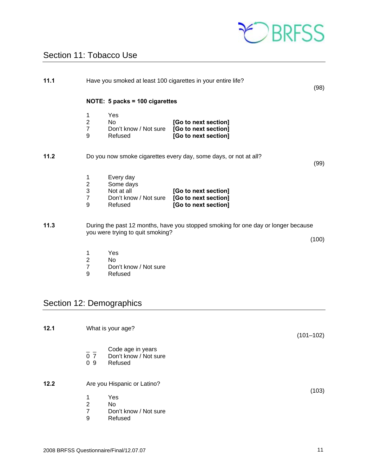

### Section 11: Tobacco Use

| 11.1                     | Have you smoked at least 100 cigarettes in your entire life? |                                                                          |                                                                                   | (98)  |
|--------------------------|--------------------------------------------------------------|--------------------------------------------------------------------------|-----------------------------------------------------------------------------------|-------|
|                          |                                                              | NOTE: 5 packs = 100 cigarettes                                           |                                                                                   |       |
|                          | 1<br>$\mathbf 2$<br>$\overline{7}$<br>9                      | Yes<br><b>No</b><br>Don't know / Not sure<br>Refused                     | [Go to next section]<br>[Go to next section]<br>[Go to next section]              |       |
| 11.2                     |                                                              |                                                                          | Do you now smoke cigarettes every day, some days, or not at all?                  | (99)  |
|                          | 1<br>$\overline{\mathbf{c}}$<br>3<br>$\overline{7}$<br>9     | Every day<br>Some days<br>Not at all<br>Don't know / Not sure<br>Refused | [Go to next section]<br>[Go to next section]<br>[Go to next section]              |       |
| 11.3                     |                                                              | you were trying to quit smoking?                                         | During the past 12 months, have you stopped smoking for one day or longer because | (100) |
|                          | 1<br>$\mathbf 2$<br>$\overline{7}$<br>9                      | Yes<br>N <sub>o</sub><br>Don't know / Not sure<br>Refused                |                                                                                   |       |
| Section 12: Demographics |                                                              |                                                                          |                                                                                   |       |

| 12.1 | What is your age?           |                                                       |       |
|------|-----------------------------|-------------------------------------------------------|-------|
|      | 0 <sub>7</sub><br>09        | Code age in years<br>Don't know / Not sure<br>Refused |       |
| 12.2 | Are you Hispanic or Latino? |                                                       | (103) |
|      | 1<br>$\overline{2}$         | Yes<br>No                                             |       |
|      | 7<br>9                      | Don't know / Not sure<br>Refused                      |       |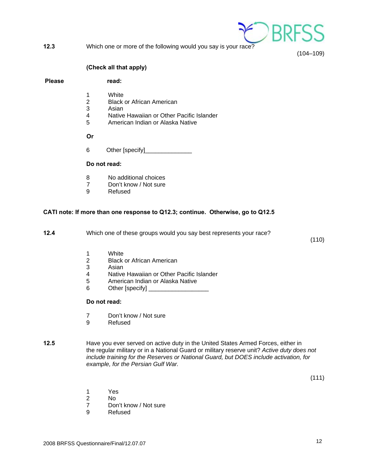- $\epsilon$  ) BR
- **12.3** Which one or more of the following would you say is your race?

(104–109)

### **(Check all that apply)**

Please read:

- 1 White
- 2 Black or African American<br>3 Asian
- **Asian**
- 4 Native Hawaiian or Other Pacific Islander<br>5 American Indian or Alaska Native
- 5 American Indian or Alaska Native

**Or**

6 Other [specify]

#### **Do not read:**

- 8 No additional choices
- 7 Don't know / Not sure<br>9 Refused
- **Refused**

### **CATI note: If more than one response to Q12.3; continue. Otherwise, go to Q12.5**

**12.4** Which one of these groups would you say best represents your race?

(110)

- 1 White
- 2 Black or African American<br>3 Asian
- **Asian**
- 4 Native Hawaiian or Other Pacific Islander
- 5 American Indian or Alaska Native
- 6 Other [specify]

#### **Do not read:**

- 7 Don't know / Not sure
- 9 Refused
- **12.5** Have you ever served on active duty in the United States Armed Forces, either in the regular military or in a National Guard or military reserve unit? *Active duty does not include training for the Reserves or National Guard, but DOES include activation, for example, for the Persian Gulf War.*

(111)

- 1 Yes
- 2 No
	- 7 Don't know / Not sure<br>9 Refused
	- **Refused**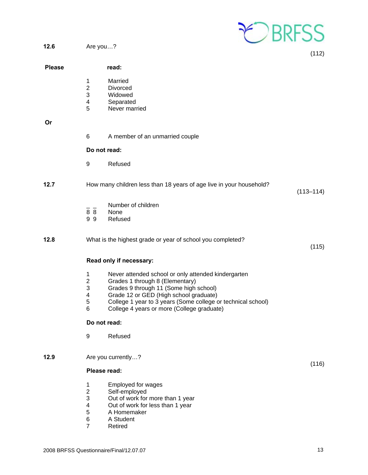

(112)

(115)

**12.6** Are you…?

|               |                                                                                       |                                                                                                                                                                                                                                                                                          | (112)         |
|---------------|---------------------------------------------------------------------------------------|------------------------------------------------------------------------------------------------------------------------------------------------------------------------------------------------------------------------------------------------------------------------------------------|---------------|
| <b>Please</b> |                                                                                       | read:                                                                                                                                                                                                                                                                                    |               |
|               | 1<br>$\boldsymbol{2}$<br>$\ensuremath{\mathsf{3}}$<br>$\overline{\mathbf{4}}$<br>5    | Married<br>Divorced<br>Widowed<br>Separated<br>Never married                                                                                                                                                                                                                             |               |
| <b>Or</b>     |                                                                                       |                                                                                                                                                                                                                                                                                          |               |
|               | 6                                                                                     | A member of an unmarried couple                                                                                                                                                                                                                                                          |               |
|               |                                                                                       | Do not read:                                                                                                                                                                                                                                                                             |               |
|               | 9                                                                                     | Refused                                                                                                                                                                                                                                                                                  |               |
| 12.7          |                                                                                       | How many children less than 18 years of age live in your household?                                                                                                                                                                                                                      | $(113 - 114)$ |
|               | 88<br>99                                                                              | Number of children<br>None<br>Refused                                                                                                                                                                                                                                                    |               |
| 12.8          |                                                                                       | What is the highest grade or year of school you completed?                                                                                                                                                                                                                               | (115)         |
|               |                                                                                       | Read only if necessary:                                                                                                                                                                                                                                                                  |               |
|               | 1<br>$\overline{2}$<br>3<br>$\overline{\mathbf{4}}$<br>$\mathbf 5$<br>$6\phantom{1}6$ | Never attended school or only attended kindergarten<br>Grades 1 through 8 (Elementary)<br>Grades 9 through 11 (Some high school)<br>Grade 12 or GED (High school graduate)<br>College 1 year to 3 years (Some college or technical school)<br>College 4 years or more (College graduate) |               |
|               |                                                                                       | Do not read:                                                                                                                                                                                                                                                                             |               |
|               | 9                                                                                     | Refused                                                                                                                                                                                                                                                                                  |               |
| 12.9          |                                                                                       | Are you currently?                                                                                                                                                                                                                                                                       |               |
|               |                                                                                       | Please read:                                                                                                                                                                                                                                                                             | (116)         |
|               | 1<br>$\overline{2}$<br>C                                                              | Employed for wages<br>Self-employed<br>$\bigcap_{i \neq n}$ of work for more than 1 year                                                                                                                                                                                                 |               |

- 3 Out of work for more than 1 year<br>4 Out of work for less than 1 year
- 4 Out of work for less than 1 year<br>5 A Homemaker
- 5 A Homemaker<br>6 A Student
- 6 A Student<br>7 Retired
- **Retired**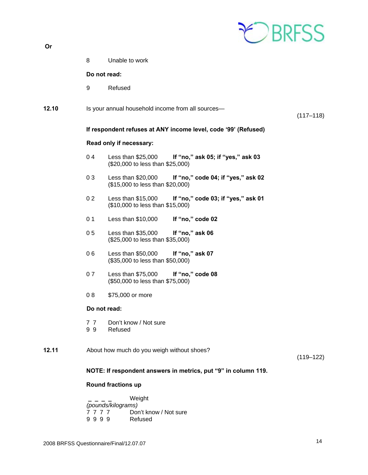|  | m |  |
|--|---|--|
|  |   |  |

| Or    |                |                                                                                               |               |
|-------|----------------|-----------------------------------------------------------------------------------------------|---------------|
|       | 8              | Unable to work                                                                                |               |
|       |                | Do not read:                                                                                  |               |
|       | 9              | Refused                                                                                       |               |
| 12.10 |                | Is your annual household income from all sources-                                             | $(117 - 118)$ |
|       |                | If respondent refuses at ANY income level, code '99' (Refused)                                |               |
|       |                | Read only if necessary:                                                                       |               |
|       | 04             | Less than \$25,000<br>If "no," ask 05; if "yes," ask 03<br>(\$20,000 to less than \$25,000)   |               |
|       | 03             | Less than \$20,000<br>If "no," code 04; if "yes," ask 02<br>(\$15,000 to less than \$20,000)  |               |
|       | 02             | Less than $$15,000$<br>If "no," code 03; if "yes," ask 01<br>(\$10,000 to less than \$15,000) |               |
|       | 0 <sub>1</sub> | Less than $$10,000$<br>If "no," code 02                                                       |               |
|       | 05             | Less than \$35,000<br>If "no," ask 06<br>(\$25,000 to less than \$35,000)                     |               |
|       | 06             | Less than \$50,000<br>If "no," ask 07<br>(\$35,000 to less than \$50,000)                     |               |
|       | 07             | If "no," code 08<br>Less than \$75,000<br>(\$50,000 to less than \$75,000)                    |               |
|       | 08             | \$75,000 or more                                                                              |               |
|       |                | Do not read:                                                                                  |               |
|       | 77<br>99       | Don't know / Not sure<br>Refused                                                              |               |
| 12.11 |                | About how much do you weigh without shoes?                                                    | $(119 - 122)$ |
|       |                | NOTE: If respondent answers in metrics, put "9" in column 119.                                |               |
|       |                | Round fractions up                                                                            |               |

 **\_ \_ \_ \_** Weight  *(pounds/kilograms)* 7 7 7 7 Don't know / Not sure 9 9 9 9 Refused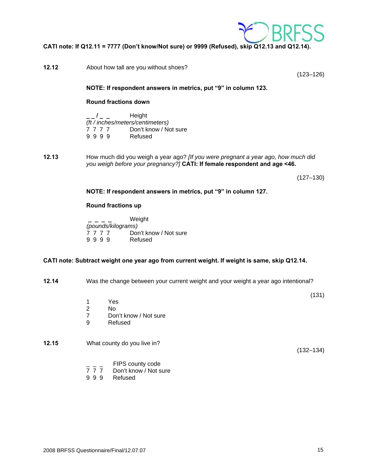

**CATI note: If Q12.11 = 7777 (Don't know/Not sure) or 9999 (Refused), skip Q12.13 and Q12.14).** 

**12.12** About how tall are you without shoes? (123–126) **NOTE: If respondent answers in metrics, put "9" in column 123. Round fractions down \_ \_ / \_ \_** Height *(ft / inches/meters/centimeters)* Don't know / Not sure 9 9 9 9 Refused **12.13** How much did you weigh a year ago? *[If you were pregnant a year ago, how much did you weigh before your pregnancy?]* **CATI: If female respondent and age <46.**  (127–130)

### **NOTE: If respondent answers in metrics, put "9" in column 127.**

#### **Round fractions up**

 **\_ \_ \_ \_** Weight  *(pounds/kilograms)* 7 7 7 7 Don't know / Not sure 9 9 9 9 Refused

### **CATI note: Subtract weight one year ago from current weight. If weight is same, skip Q12.14.**

**12.14** Was the change between your current weight and your weight a year ago intentional?

- 1 Yes
- 2 No
	- 7 Don't know / Not sure
	- 9 Refused

**12.15** What county do you live in?

(132–134)

(131)

- $\frac{1}{7}$   $\frac{1}{7}$   $\frac{1}{7}$   $\frac{1}{7}$   $\frac{1}{7}$  Don't know / Not s
- 7 7 7 Don't know / Not sure<br>9 9 9 Refused
- **Refused**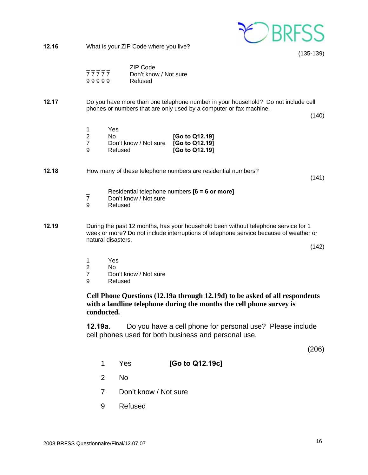

**12.16** What is your ZIP Code where you live?

(135-139)

|       | ZIP Code              |
|-------|-----------------------|
| 77777 | Don't know / Not sure |
| 99999 | Refused               |

- **12.17** Do you have more than one telephone number in your household? Do not include cell phones or numbers that are only used by a computer or fax machine.
	- (140)

|   | Yes                                  |                |
|---|--------------------------------------|----------------|
|   | N٥                                   | [Go to Q12.19] |
|   | Don't know / Not sure [Go to Q12.19] |                |
| g | Refused                              | [Go to Q12.19] |

**12.18** How many of these telephone numbers are residential numbers?

(141)

- \_ Residential telephone numbers **[6 = 6 or more]**
- 7 Don't know / Not sure<br>9 Refused
- **Refused**
- **12.19** During the past 12 months, has your household been without telephone service for 1 week or more? Do not include interruptions of telephone service because of weather or natural disasters.

(142)

- 1 Yes<br>2 No
- No
- 7 Don't know / Not sure
- 9 Refused

**Cell Phone Questions (12.19a through 12.19d) to be asked of all respondents with a landline telephone during the months the cell phone survey is conducted.**

**12.19a**. Do you have a cell phone for personal use? Please include cell phones used for both business and personal use.

(206)

- 1 Yes **[Go to Q12.19c]**
- 2 No
- 7 Don't know / Not sure
- 9 Refused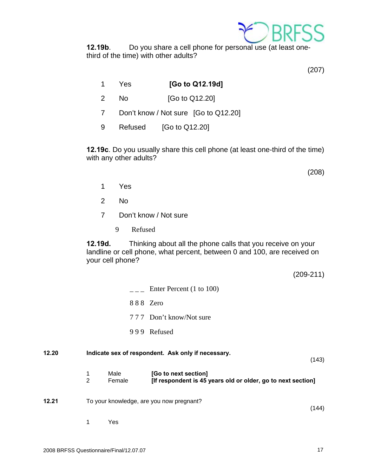

**12.19b**. Do you share a cell phone for personal use (at least onethird of the time) with other adults?

(207)

- 1 Yes **[Go to Q12.19d]**
- 2 No [Go to Q12.20]
- 7 Don't know / Not sure [Go to Q12.20]
- 9 Refused [Go to Q12.20]

**12.19c**. Do you usually share this cell phone (at least one-third of the time) with any other adults?

(208)

- 1 Yes
- 2 No
- 7 Don't know / Not sure
	- 9 Refused

**12.19d.** Thinking about all the phone calls that you receive on your landline or cell phone, what percent, between 0 and 100, are received on your cell phone?

(209-211)

|       |                     |                | Enter Percent (1 to 100)                                                             |       |
|-------|---------------------|----------------|--------------------------------------------------------------------------------------|-------|
|       |                     | 888 Zero       |                                                                                      |       |
|       |                     |                | 777 Don't know/Not sure                                                              |       |
|       |                     |                | 999 Refused                                                                          |       |
| 12.20 |                     |                | Indicate sex of respondent. Ask only if necessary.                                   | (143) |
|       | 1<br>$\overline{2}$ | Male<br>Female | [Go to next section]<br>[If respondent is 45 years old or older, go to next section] |       |
| 12.21 |                     |                | To your knowledge, are you now pregnant?                                             | (144) |
|       | 1                   | Yes            |                                                                                      |       |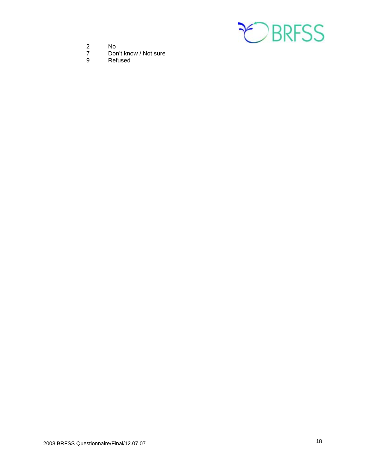

- 
- 2 No<br>7 Dor 7 Don't know / Not sure<br>9 Refused
- **Refused**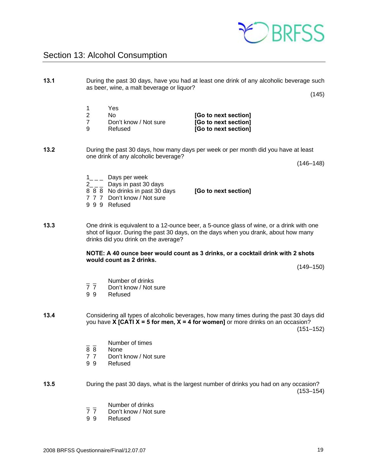### Section 13: Alcohol Consumption

**13.1** During the past 30 days, have you had at least one drink of any alcoholic beverage such as beer, wine, a malt beverage or liquor?

 $(145)$ 

- 1 Yes 2 No **[Go to next section]**
- 7 Don't know / Not sure **[Go to next section]**
- 

**13.2** During the past 30 days, how many days per week or per month did you have at least one drink of any alcoholic beverage?

[Go to next section]

(146–148)

- $1_{---}$  Days per week
- $2_{---}$  Days in past 30 days
- 8 8 8 No drinks in past 30 days **[Go to next section]**
- 7 7 7 Don't know / Not sure
- 9 9 9 Refused

#### **13.3** One drink is equivalent to a 12-ounce beer, a 5-ounce glass of wine, or a drink with one shot of liquor. During the past 30 days, on the days when you drank, about how many drinks did you drink on the average?

### **NOTE: A 40 ounce beer would count as 3 drinks, or a cocktail drink with 2 shots would count as 2 drinks.**

(149–150)

- $\frac{1}{7}$   $\frac{1}{7}$  Number of drinks
- Don't know / Not sure
- 9 9 Refused

**13.4** Considering all types of alcoholic beverages, how many times during the past 30 days did you have **X [CATI X = 5 for men, X = 4 for women]** or more drinks on an occasion? (151–152)

- $\frac{1}{8}$   $\frac{1}{8}$  Number of times
- None
- 7 7 Don't know / Not sure
- 9 9 Refused

**13.5** During the past 30 days, what is the largest number of drinks you had on any occasion? (153–154)

- $\frac{1}{7}$  Don't know / Not s
- Don't know / Not sure
- 9 9 Refused

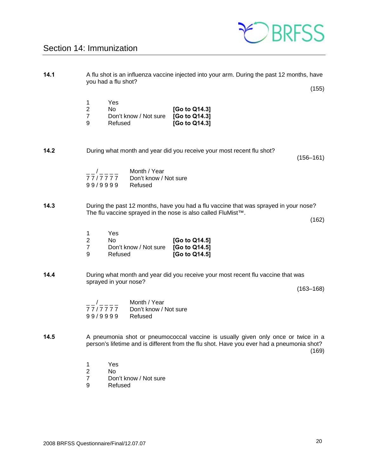

### Section 14: Immunization

| 14.1 |                                                     | you had a flu shot?                                                             | A flu shot is an influenza vaccine injected into your arm. During the past 12 months, have                                                                                     |               |
|------|-----------------------------------------------------|---------------------------------------------------------------------------------|--------------------------------------------------------------------------------------------------------------------------------------------------------------------------------|---------------|
|      |                                                     |                                                                                 |                                                                                                                                                                                | (155)         |
|      | 1<br>$\overline{2}$<br>$\overline{7}$<br>9          | Yes<br>No<br>Don't know / Not sure<br>Refused                                   | [Go to Q14.3]<br>[Go to Q14.3]<br>[Go to Q14.3]                                                                                                                                |               |
| 14.2 |                                                     |                                                                                 | During what month and year did you receive your most recent flu shot?                                                                                                          | $(156 - 161)$ |
|      | 99/9999                                             | Month / Year<br>$-     -$<br>77/7777<br>Don't know / Not sure<br>Refused        |                                                                                                                                                                                |               |
| 14.3 |                                                     |                                                                                 | During the past 12 months, have you had a flu vaccine that was sprayed in your nose?<br>The flu vaccine sprayed in the nose is also called FluMist™.                           | (162)         |
|      | 1<br>$\overline{\mathbf{c}}$<br>$\overline{7}$<br>9 | Yes<br>No<br>Don't know / Not sure<br>Refused                                   | [Go to Q14.5]<br>[Go to Q14.5]<br>[Go to Q14.5]                                                                                                                                |               |
| 14.4 |                                                     | sprayed in your nose?                                                           | During what month and year did you receive your most recent flu vaccine that was                                                                                               | $(163 - 168)$ |
|      |                                                     | $\frac{1}{7777777}$ Month / Year<br>Don't know / Not sure<br>99/9999<br>Refused |                                                                                                                                                                                |               |
| 14.5 |                                                     |                                                                                 | A pneumonia shot or pneumococcal vaccine is usually given only once or twice in a<br>person's lifetime and is different from the flu shot. Have you ever had a pneumonia shot? | (169)         |
|      | 1<br>$\overline{2}$<br>$\overline{7}$<br>9          | Yes<br>No<br>Don't know / Not sure<br>Refused                                   |                                                                                                                                                                                |               |
|      |                                                     |                                                                                 |                                                                                                                                                                                |               |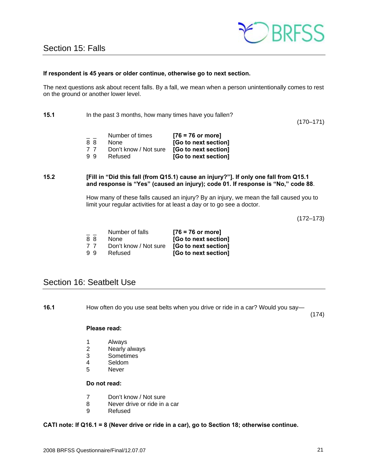

### **If respondent is 45 years or older continue, otherwise go to next section.**

The next questions ask about recent falls. By a fall, we mean when a person unintentionally comes to rest on the ground or another lower level.

**15.1** In the past 3 months, how many times have you fallen?

(170–171)

|    | Number of times       | $[76 = 76$ or more]  |
|----|-----------------------|----------------------|
| 88 | <b>None</b>           | [Go to next section] |
| 77 | Don't know / Not sure | [Go to next section] |
| 99 | Refused               | [Go to next section] |

### **15.2 [Fill in "Did this fall (from Q15.1) cause an injury?"]. If only one fall from Q15.1 and response is "Yes" (caused an injury); code 01. If response is "No," code 88**.

How many of these falls caused an injury? By an injury, we mean the fall caused you to limit your regular activities for at least a day or to go see a doctor.

(172–173)

|    | Number of falls       | $[76 = 76$ or more]  |
|----|-----------------------|----------------------|
| 88 | None                  | [Go to next section] |
| 77 | Don't know / Not sure | [Go to next section] |
| 99 | Refused               | [Go to next section] |

### Section 16: Seatbelt Use

**16.1** How often do you use seat belts when you drive or ride in a car? Would you say—

(174)

#### **Please read:**

- 1 Always
- 2 Nearly always
- 3 Sometimes
- 4 Seldom<br>5 Never
- **Never**

### **Do not read:**

- 7 Don't know / Not sure
- 8 Never drive or ride in a car
- 9 Refused

### **CATI note: If Q16.1 = 8 (Never drive or ride in a car), go to Section 18; otherwise continue.**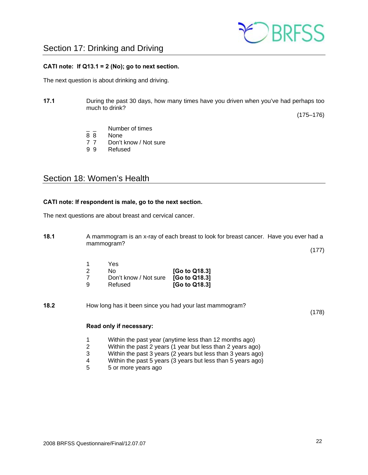

#### **CATI note: If Q13.1 = 2 (No); go to next section.**

The next question is about drinking and driving.

**17.1** During the past 30 days, how many times have you driven when you've had perhaps too much to drink?

(175–176)

- $\frac{1}{8}$   $\frac{1}{8}$  Number of times
- None
- 7 7 Don't know / Not sure
- 9 9 Refused

### Section 18: Women's Health

#### **CATI note: If respondent is male, go to the next section.**

The next questions are about breast and cervical cancer.

|   |                       |               | (177)                                                                                                                                            |  |
|---|-----------------------|---------------|--------------------------------------------------------------------------------------------------------------------------------------------------|--|
|   | Yes                   |               |                                                                                                                                                  |  |
| 2 | No.                   | [Go to Q18.3] |                                                                                                                                                  |  |
|   | Don't know / Not sure | [Go to Q18.3] |                                                                                                                                                  |  |
| 9 | Refused               | [Go to Q18.3] |                                                                                                                                                  |  |
|   |                       |               |                                                                                                                                                  |  |
|   |                       | mammogram?    | A mammogram is an x-ray of each breast to look for breast cancer. Have you ever had a<br>How long has it been since you had your last mammogram? |  |

#### **Read only if necessary:**

- 1 Within the past year (anytime less than 12 months ago)
- 2 Within the past 2 years (1 year but less than 2 years ago)<br>3 Within the past 3 years (2 years but less than 3 years ago)
- 3 Within the past 3 years (2 years but less than 3 years ago)
- Within the past 5 years (3 years but less than 5 years ago)
- 5 5 or more years ago

(178)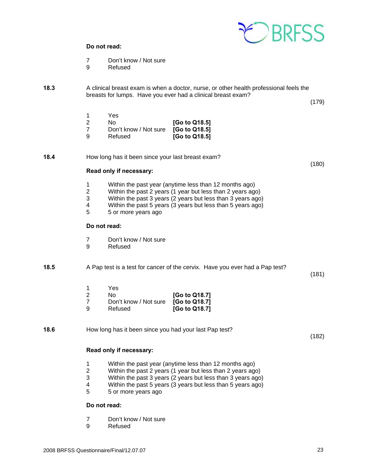

#### **Do not read:**

- 7 Don't know / Not sure<br>9 Refused
- **Refused**

**18.3** A clinical breast exam is when a doctor, nurse, or other health professional feels the breasts for lumps. Have you ever had a clinical breast exam?

(179)

(180)

|   | Yes                   |               |
|---|-----------------------|---------------|
|   | Nο                    | [Go to Q18.5] |
|   | Don't know / Not sure | [Go to Q18.5] |
| a | Refused               | [Go to Q18.5] |

**18.4** How long has it been since your last breast exam?

#### **Read only if necessary:**

- 1 Within the past year (anytime less than 12 months ago)<br>2 Within the past 2 years (1 year but less than 2 years ago
- 2 Within the past 2 years (1 year but less than 2 years ago)
- 3 Within the past 3 years (2 years but less than 3 years ago)
- 4 Within the past 5 years (3 years but less than 5 years ago)<br>5 5 or more years ago
- 5 5 or more years ago

#### **Do not read:**

- 7 Don't know / Not sure<br>9 Refused
- **Refused**

**18.5** A Pap test is a test for cancer of the cervix. Have you ever had a Pap test?

(181)

|   | Yes                                 |               |
|---|-------------------------------------|---------------|
|   | N٥                                  | [Go to Q18.7] |
|   | Don't know / Not sure [Go to Q18.7] |               |
| a | Refused                             | [Go to Q18.7] |

**18.6** How long has it been since you had your last Pap test?

(182)

### **Read only if necessary:**

- 1 Within the past year (anytime less than 12 months ago)
- 2 Within the past 2 years (1 year but less than 2 years ago)
- 3 Within the past 3 years (2 years but less than 3 years ago)
- 4 Within the past 5 years (3 years but less than 5 years ago)
- 5 5 or more years ago

### **Do not read:**

- 7 Don't know / Not sure
- 9 Refused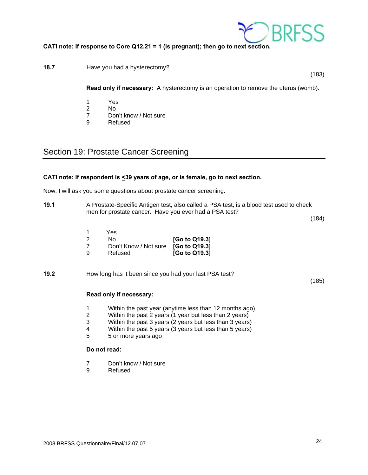

### **CATI note: If response to Core Q12.21 = 1 (is pregnant); then go to next section.**

### **18.7 Have you had a hysterectomy?**

(183)

**Read only if necessary:** A hysterectomy is an operation to remove the uterus (womb).

- 1 Yes
- No.
- 7 Don't know / Not sure<br>9 Refused
- **Refused**

### Section 19: Prostate Cancer Screening

### **CATI note: If respondent is <39 years of age, or is female, go to next section.**

Now, I will ask you some questions about prostate cancer screening.

**19.1** A Prostate-Specific Antigen test, also called a PSA test, is a blood test used to check men for prostate cancer. Have you ever had a PSA test?

(184)

1 Yes

|   | No.                                 | [Go to Q19.3] |
|---|-------------------------------------|---------------|
|   | Don't Know / Not sure [Go to Q19.3] |               |
| a | Refused                             | [Go to Q19.3] |

**19.2** How long has it been since you had your last PSA test?

(185)

### **Read only if necessary:**

- 1 Within the past year (anytime less than 12 months ago)
- 2 Within the past 2 years (1 year but less than 2 years)
- 3 Within the past 3 years (2 years but less than 3 years)
- 4 Within the past 5 years (3 years but less than 5 years)
- 5 5 or more years ago

### **Do not read:**

- 7 Don't know / Not sure
- 9 Refused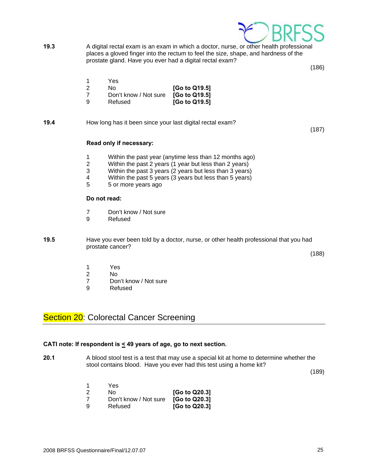

**19.3** A digital rectal exam is an exam in which a doctor, nurse, or other health professional places a gloved finger into the rectum to feel the size, shape, and hardness of the prostate gland. Have you ever had a digital rectal exam?

(186)

| No.                                 | [Go to Q19.5] |
|-------------------------------------|---------------|
| Don't know / Not sure [Go to Q19.5] |               |

9 Refused **[Go to Q19.5]** 

**19.4** How long has it been since your last digital rectal exam?

(187)

#### **Read only if necessary:**

- 1 Within the past year (anytime less than 12 months ago)
- 2 Within the past 2 years (1 year but less than 2 years)<br>3 Within the past 3 years (2 years but less than 3 years)
- Within the past 3 years (2 years but less than 3 years)
- 4 Within the past 5 years (3 years but less than 5 years)<br>5 5 or more vears ago
- 5 5 or more years ago

### **Do not read:**

- 7 Don't know / Not sure
- 9 Refused
- **19.5** Have you ever been told by a doctor, nurse, or other health professional that you had prostate cancer?

(188)

- 1 Yes
- 2 No
- 7 Don't know / Not sure
- 9 Refused

### Section 20: Colorectal Cancer Screening

### **CATI note: If respondent is < 49 years of age, go to next section.**

**20.1** A blood stool test is a test that may use a special kit at home to determine whether the stool contains blood. Have you ever had this test using a home kit?

(189)

|   | Yes                                 |               |
|---|-------------------------------------|---------------|
|   | N٥                                  | [Go to Q20.3] |
|   | Don't know / Not sure [Go to Q20.3] |               |
| a | Refused                             | [Go to Q20.3] |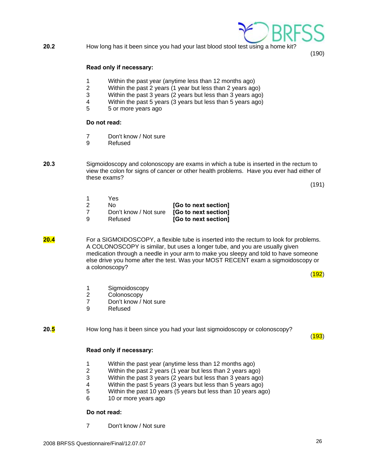

(190)

#### **Read only if necessary:**

- 1 Within the past year (anytime less than 12 months ago)
- 2 Within the past 2 years (1 year but less than 2 years ago)
- 3 Within the past 3 years (2 years but less than 3 years ago)
- 4 Within the past 5 years (3 years but less than 5 years ago)<br>5 5 or more vears ago
- 5 5 or more years ago

#### **Do not read:**

- 7 Don't know / Not sure
- 9 Refused
- **20.3** Sigmoidoscopy and colonoscopy are exams in which a tube is inserted in the rectum to view the colon for signs of cancer or other health problems. Have you ever had either of these exams?

(191)

 1 Yes 2 No **[Go to next section]** 7 Don't know / Not sure **[Go to next section]** [Go to next section]

**20.4** For a SIGMOIDOSCOPY, a flexible tube is inserted into the rectum to look for problems. A COLONOSCOPY is similar, but uses a longer tube, and you are usually given medication through a needle in your arm to make you sleepy and told to have someone else drive you home after the test. Was your MOST RECENT exam a sigmoidoscopy or a colonoscopy?

 $(192)$ 

- 1 Sigmoidoscopy
- 2 Colonoscopy
- 7 Don't know / Not sure
- 9 Refused

**20.5** How long has it been since you had your last sigmoidoscopy or colonoscopy?

 $(193)$ 

### **Read only if necessary:**

- 1 Within the past year (anytime less than 12 months ago)
- 2 Within the past 2 years (1 year but less than 2 years ago)
- 3 Within the past 3 years (2 years but less than 3 years ago)
- 4 Within the past 5 years (3 years but less than 5 years ago)
- 5 Within the past 10 years (5 years but less than 10 years ago)
- 6 10 or more years ago

### **Do not read:**

7 Don't know / Not sure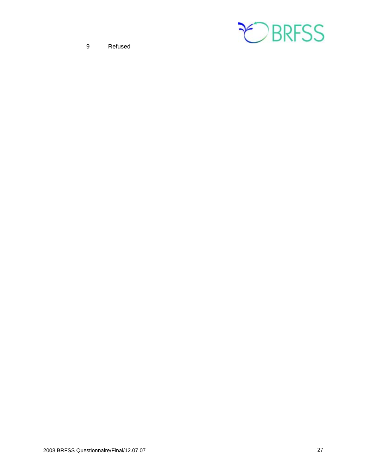

9 Refused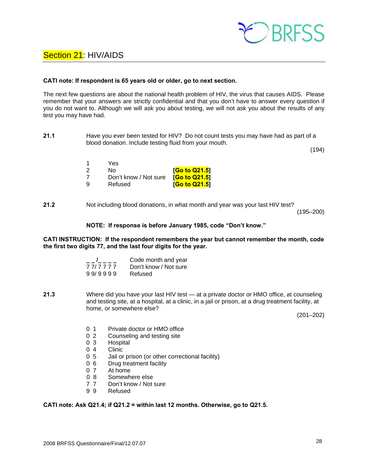

### Section 21: HIV/AIDS

#### **CATI note: If respondent is 65 years old or older, go to next section.**

The next few questions are about the national health problem of HIV, the virus that causes AIDS. Please remember that your answers are strictly confidential and that you don't have to answer every question if you do not want to. Although we will ask you about testing, we will not ask you about the results of any test you may have had.

**21.1** Have you ever been tested for HIV? Do not count tests you may have had as part of a blood donation. Include testing fluid from your mouth.

(194)

|   | Yes.                  |                              |
|---|-----------------------|------------------------------|
|   | No.                   | [ <mark>Go to Q21.5</mark> ] |
|   | Don't know / Not sure | [Go to Q21.5]                |
| a | Refused               | [Go to Q21.5]                |

**21.2** Not including blood donations, in what month and year was your last HIV test?

(195–200)

### **NOTE: If response is before January 1985, code "Don't know."**

#### **CATI INSTRUCTION: If the respondent remembers the year but cannot remember the month, code the first two digits 77, and the last four digits for the year.**

|         | Code month and year   |
|---------|-----------------------|
| 77/7777 | Don't know / Not sure |
| 99/9999 | Refused               |

**21.3** Where did you have your last HIV test — at a private doctor or HMO office, at counseling and testing site, at a hospital, at a clinic, in a jail or prison, at a drug treatment facility, at home, or somewhere else?

(201–202)

- 0 1 Private doctor or HMO office
- 0 2 Counseling and testing site
- 0 3 Hospital
- 0 4 Clinic
- 0 5 Jail or prison (or other correctional facility)
- 0 6 Drug treatment facility
- 0 7 At home
- 0 8 Somewhere else
- 7 7 Don't know / Not sure
- 9 9 Refused

#### **CATI note: Ask Q21.4; if Q21.2 = within last 12 months. Otherwise, go to Q21.5.**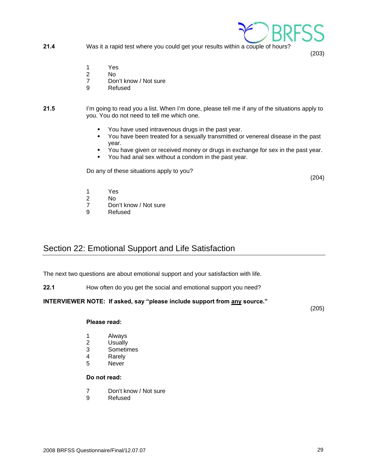2008 BRFSS Questionnaire/Final/12.07.07 29

- **21.4** Was it a rapid test where you could get your results within a couple of hours?
	- 1 Yes
	- 2 No
	- 7 Don't know / Not sure
	- 9 Refused
- **21.5** I'm going to read you a list. When I'm done, please tell me if any of the situations apply to you. You do not need to tell me which one.
	- You have used intravenous drugs in the past year.
	- You have been treated for a sexually transmitted or venereal disease in the past year.
	- You have given or received money or drugs in exchange for sex in the past year.
	- You had anal sex without a condom in the past year.

Do any of these situations apply to you?

(204)

(203)

- 1 Yes
- 2 No<br>7 Dor
- Don't know / Not sure
- 9 Refused

### Section 22: Emotional Support and Life Satisfaction

The next two questions are about emotional support and your satisfaction with life.

**22.1** How often do you get the social and emotional support you need?

### **INTERVIEWER NOTE: If asked, say "please include support from any source."**

(205)

### **Please read:**

- 1 Always
- 2 Usually
- 3 Sometimes
- 4 Rarely
- 5 Never

### **Do not read:**

- 7 Don't know / Not sure
- 9 Refused

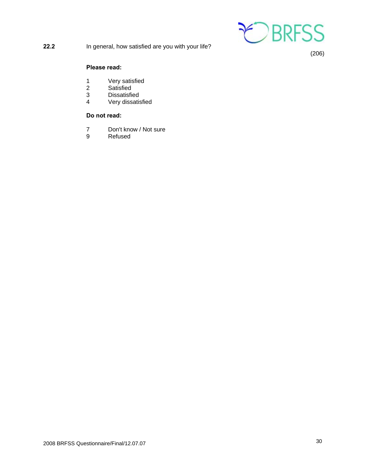

**22.2** In general, how satisfied are you with your life?

(206)

### **Please read:**

- 1 Very satisfied<br>2 Satisfied
- 2 Satisfied<br>3 Dissatisfie
- 3 Dissatisfied<br>4 Verv dissatis
- Very dissatisfied

### **Do not read:**

- 7 Don't know / Not sure
- 9 Refused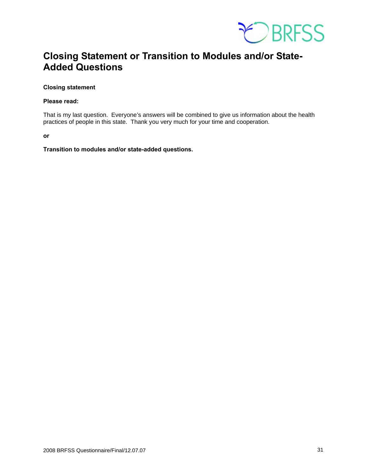

### **Closing Statement or Transition to Modules and/or State-Added Questions**

### **Closing statement**

#### **Please read:**

That is my last question. Everyone's answers will be combined to give us information about the health practices of people in this state. Thank you very much for your time and cooperation.

**or** 

**Transition to modules and/or state-added questions.**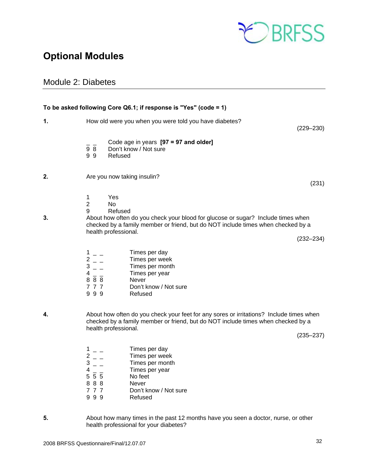

### **Optional Modules**

### Module 2: Diabetes

|    |                                                                                                                                                                                                                      | To be asked following Core Q6.1; if response is "Yes" (code = 1)                                                                                                                                                                 |               |  |  |
|----|----------------------------------------------------------------------------------------------------------------------------------------------------------------------------------------------------------------------|----------------------------------------------------------------------------------------------------------------------------------------------------------------------------------------------------------------------------------|---------------|--|--|
| 1. |                                                                                                                                                                                                                      | How old were you when you were told you have diabetes?                                                                                                                                                                           | $(229 - 230)$ |  |  |
|    | $\overline{9}$ $\overline{8}$<br>99                                                                                                                                                                                  | Code age in years [97 = 97 and older]<br>Don't know / Not sure<br>Refused                                                                                                                                                        |               |  |  |
| 2. |                                                                                                                                                                                                                      | Are you now taking insulin?                                                                                                                                                                                                      |               |  |  |
| 3. | $\mathbf{1}$<br>$\overline{2}$<br>9                                                                                                                                                                                  | Yes<br>N <sub>0</sub><br>Refused<br>About how often do you check your blood for glucose or sugar? Include times when<br>checked by a family member or friend, but do NOT include times when checked by a<br>health professional. | $(232 - 234)$ |  |  |
|    | $1 -$<br>$2 -$<br>$3 - -$<br>$4 - -$<br>888<br>777<br>999                                                                                                                                                            | Times per day<br>Times per week<br>Times per month<br>Times per year<br><b>Never</b><br>Don't know / Not sure<br>Refused                                                                                                         |               |  |  |
| 4. | About how often do you check your feet for any sores or irritations? Include times when<br>checked by a family member or friend, but do NOT include times when checked by a<br>health professional.<br>$(235 - 237)$ |                                                                                                                                                                                                                                  |               |  |  |
|    | $1 - 1$<br>$2 - 1$<br>$3 - -$<br>$\overline{4}$<br>5 5 5<br>888<br>777                                                                                                                                               | Times per day<br>Times per week<br>Times per month<br>Times per year<br>No feet<br>Never<br>Don't know / Not sure                                                                                                                |               |  |  |

- 9 9 9 Refused
- **5.** About how many times in the past 12 months have you seen a doctor, nurse, or other health professional for your diabetes?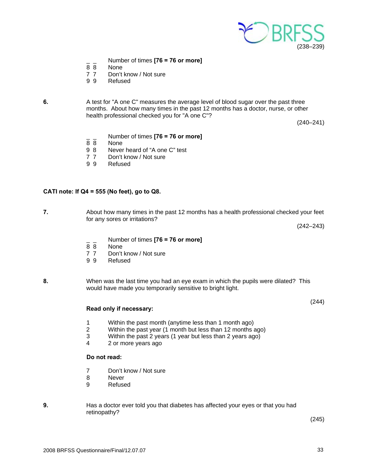

- \_ \_ Number of times **[76 = 76 or more]**
- None
- 7 7 Don't know / Not sure
- 9 9 Refused

**6.** A test for "A one C" measures the average level of blood sugar over the past three months. About how many times in the past 12 months has a doctor, nurse, or other health professional checked you for "A one C"?

(240–241)

- $\frac{1}{8}$  Number of times **[76 = 76 or more]**<br> $\frac{1}{8}$  None
- 8 8 None<br>9 8 Never
- Never heard of "A one C" test
- 7 7 Don't know / Not sure
- 9 9 Refused

### **CATI note: If Q4 = 555 (No feet), go to Q8.**

**7.** About how many times in the past 12 months has a health professional checked your feet for any sores or irritations?

(242–243)

(244)

- \_ \_ Number of times **[76 = 76 or more]**
- **None**
- 7 7 Don't know / Not sure
- 9 9 Refused
- **8.** When was the last time you had an eye exam in which the pupils were dilated? This would have made you temporarily sensitive to bright light.

#### **Read only if necessary:**

- 1 Within the past month (anytime less than 1 month ago)
- 2 Within the past year (1 month but less than 12 months ago)<br>3 Within the past 2 years (1 year but less than 2 years ago)
- Within the past 2 years (1 year but less than 2 years ago)
- 4 2 or more years ago

### **Do not read:**

- 7 Don't know / Not sure
- 8 Never
- 9 Refused
- **9.** Has a doctor ever told you that diabetes has affected your eyes or that you had retinopathy?

(245)

2008 BRFSS Questionnaire/Final/12.07.07 33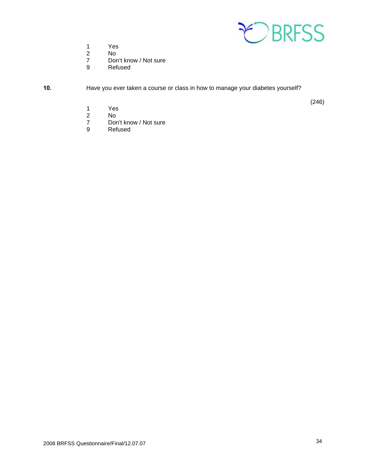

- 1 Yes
- 2 No<br>7 Dor
- 7 Don't know / Not sure<br>9 Refused
- **Refused**

**10.** Have you ever taken a course or class in how to manage your diabetes yourself?

(246)

- 1 Yes
- 2 No<br>7 Dor
- 7 Don't know / Not sure<br>9 Refused
- Refused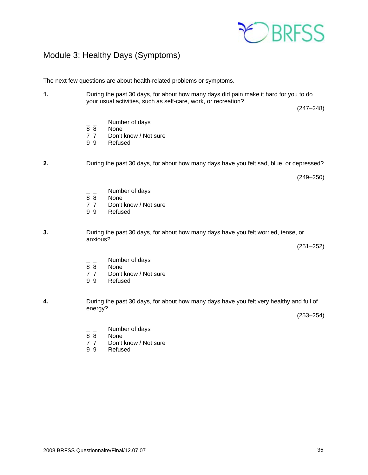

### Module 3: Healthy Days (Symptoms)

The next few questions are about health-related problems or symptoms.

**1.** During the past 30 days, for about how many days did pain make it hard for you to do your usual activities, such as self-care, work, or recreation?

(247–248)

 $\frac{1}{8}$   $\frac{1}{8}$  Number of days

8 8 None<br>7 7 Don't

Don't know / Not sure

9 9 Refused

**2.** During the past 30 days, for about how many days have you felt sad, blue, or depressed?

(249–250)

- $\frac{1}{8}$   $\frac{1}{8}$  Number of days
- 8 8 None<br>7 7 Don't
- 7 7 Don't know / Not sure<br>9 9 Refused
- **Refused**
- **3.** During the past 30 days, for about how many days have you felt worried, tense, or anxious?

(251–252)

- $\frac{1}{8}$   $\frac{1}{8}$  Number of days
- 8 8 None<br>7 7 Don't
- Don't know / Not sure
- 9 9 Refused
- **4.** During the past 30 days, for about how many days have you felt very healthy and full of energy?

(253–254)

- $\frac{1}{8}$   $\frac{1}{8}$  Number of days
- **None**
- 7 7 Don't know / Not sure<br>9 9 Refused
- **Refused**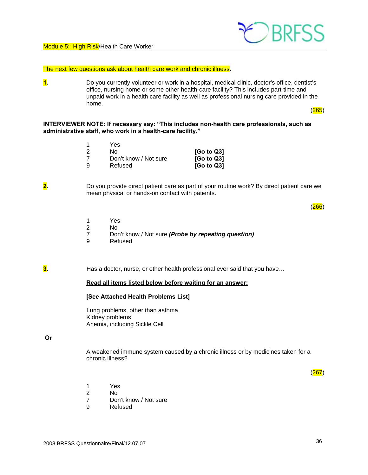

The next few questions ask about health care work and chronic illness.

**1.** Do you currently volunteer or work in a hospital, medical clinic, doctor's office, dentist's office, nursing home or some other health-care facility? This includes part-time and unpaid work in a health care facility as well as professional nursing care provided in the home.

(265)

#### **INTERVIEWER NOTE: If necessary say: "This includes non-health care professionals, such as administrative staff, who work in a health-care facility."**

|   | Yes                   |                        |
|---|-----------------------|------------------------|
|   | N٥                    | [G <sub>o</sub> to Q3] |
|   | Don't know / Not sure | [G <sub>o</sub> to Q3] |
| a | Refused               | [G <sub>o</sub> to Q3] |

**2.** Do you provide direct patient care as part of your routine work? By direct patient care we mean physical or hands-on contact with patients.

 $(266)$ 

- 1 Yes
- 2 No<br>7 Dor
- 7 Don't know / Not sure *(Probe by repeating question)*
- 9 Refused

**3.** Has a doctor, nurse, or other health professional ever said that you have...

#### **Read all items listed below before waiting for an answer:**

#### **[See Attached Health Problems List]**

 Lung problems, other than asthma Kidney problems Anemia, including Sickle Cell

#### **Or**

A weakened immune system caused by a chronic illness or by medicines taken for a chronic illness?

(267)

- 1 Yes
- 2 No
	- 7 Don't know / Not sure
	- 9 Refused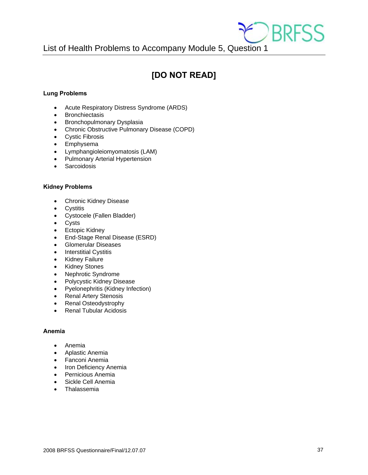

List of Health Problems to Accompany Module 5, Question 1

### **[DO NOT READ]**

### **Lung Problems**

- Acute Respiratory Distress Syndrome (ARDS)
- **•** Bronchiectasis
- Bronchopulmonary Dysplasia
- Chronic Obstructive Pulmonary Disease (COPD)
- Cystic Fibrosis
- Emphysema
- Lymphangioleiomyomatosis (LAM)
- Pulmonary Arterial Hypertension
- Sarcoidosis

### **Kidney Problems**

- Chronic Kidney Disease
- **•** Cystitis
- Cystocele (Fallen Bladder)
- Cysts
- Ectopic Kidney
- End-Stage Renal Disease (ESRD)
- Glomerular Diseases
- Interstitial Cystitis
- Kidney Failure
- Kidney Stones
- Nephrotic Syndrome
- Polycystic Kidney Disease
- Pyelonephritis (Kidney Infection)
- Renal Artery Stenosis
- Renal Osteodystrophy
- Renal Tubular Acidosis

### **Anemia**

- Anemia
- Aplastic Anemia
- Fanconi Anemia
- Iron Deficiency Anemia
- **•** Pernicious Anemia
- Sickle Cell Anemia
- Thalassemia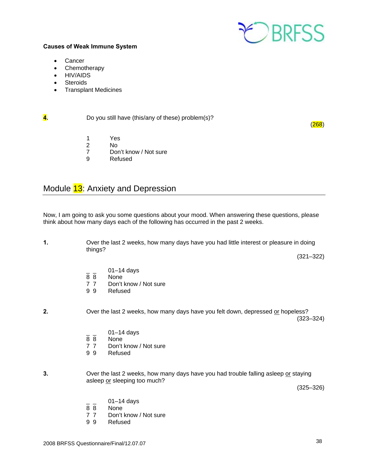

### **Causes of Weak Immune System**

- Cancer
- Chemotherapy
- HIV/AIDS
- **•** Steroids
- Transplant Medicines

**4. Do you still have (this/any of these) problem(s)?** 

- 1 Yes<br>2 No 2 No
	- 7 Don't know / Not sure<br>9 Refused
	- **Refused**

### Module 13: Anxiety and Depression

Now, I am going to ask you some questions about your mood. When answering these questions, please think about how many days each of the following has occurred in the past 2 weeks.

**1.** Over the last 2 weeks, how many days have you had little interest or pleasure in doing things?

(321–322)

 $(268)$ 

- $\frac{1}{8}$   $\frac{01-14}{8}$  days
- 8 8 None<br>7 7 Don't
- Don't know / Not sure
- 9 9 Refused
- **2.** Over the last 2 weeks, how many days have you felt down, depressed or hopeless? (323–324)
	- $\frac{1}{8}$   $\frac{01-14}{8}$  days
	- 8 8 None<br>7 7 Don't
	- Don't know / Not sure
	- 9 9 Refused
- **3.** Over the last 2 weeks, how many days have you had trouble falling asleep or staying asleep or sleeping too much?

(325–326)

- $\frac{1}{8}$   $\frac{01-14}{8}$  days
- None
- 7 7 Don't know / Not sure
- 9 9 Refused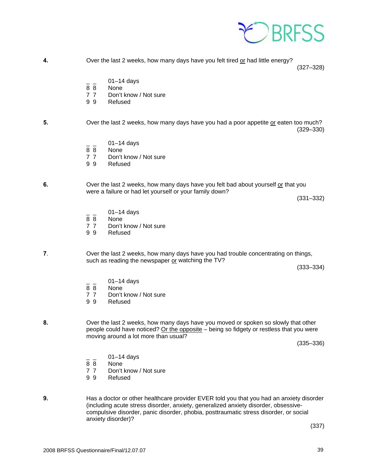

**4.** Over the last 2 weeks, how many days have you felt tired or had little energy?

(327–328)

- $\frac{1}{8}$   $\frac{01-14}{8}$  days
- None
- 7 7 Don't know / Not sure
- 9 9 Refused

#### **5.** Over the last 2 weeks, how many days have you had a poor appetite or eaten too much? (329–330)

- $\frac{1}{8}$   $\frac{1}{8}$  01–14 days
- None
- 7 7 Don't know / Not sure
- 9 9 Refused

**6.** Over the last 2 weeks, how many days have you felt bad about yourself or that you were a failure or had let yourself or your family down?

(331–332)

- $01-14$  days
- 8 8 None
- 7 7 Don't know / Not sure
- 9 9 Refused

**7**. Over the last 2 weeks, how many days have you had trouble concentrating on things, such as reading the newspaper or watching the TV?

(333–334)

- $\frac{1}{8}$   $\frac{01-14}{8}$  days
- **None**
- 7 7 Don't know / Not sure<br>9 9 Refused
- **Refused**

**8.** Over the last 2 weeks, how many days have you moved or spoken so slowly that other people could have noticed? Or the opposite – being so fidgety or restless that you were moving around a lot more than usual?

(335–336)

- $\frac{1}{8}$   $\frac{1}{8}$  01–14 days
- **None**
- 7 7 Don't know / Not sure
- 9 9 Refused
- **9.** Has a doctor or other healthcare provider EVER told you that you had an anxiety disorder (including acute stress disorder, anxiety, generalized anxiety disorder, obsessive compulsive disorder, panic disorder, phobia, posttraumatic stress disorder, or social anxiety disorder)?

(337)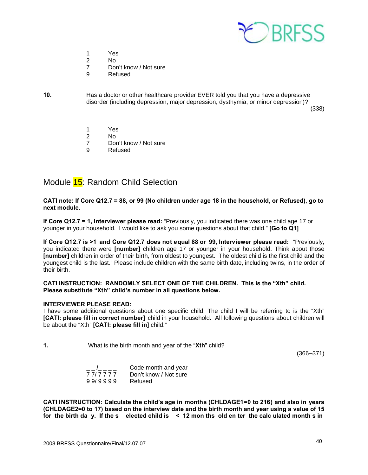

- 1 Yes
- 2 No
	- 7 Don't know / Not sure
	- 9 Refused
- **10.** Has a doctor or other healthcare provider EVER told you that you have a depressive disorder (including depression, major depression, dysthymia, or minor depression)?

(338)

- 1 Yes
- 2 No
- 7 Don't know / Not sure
- 9 Refused

### Module 15: Random Child Selection

**CATI note: If Core Q12.7 = 88, or 99 (No children under age 18 in the household, or Refused), go to next module.** 

**If Core Q12.7 = 1, Interviewer please read:** "Previously, you indicated there was one child age 17 or younger in your household. I would like to ask you some questions about that child." **[Go to Q1]**

**If Core Q12.7 is >1 and Core Q12.7 does not equal 88 or 99, Interviewer please read:** "Previously, you indicated there were **[number]** children age 17 or younger in your household. Think about those **[number]** children in order of their birth, from oldest to youngest. The oldest child is the first child and the youngest child is the last." Please include children with the same birth date, including twins, in the order of their birth.

### **CATI INSTRUCTION: RANDOMLY SELECT ONE OF THE CHILDREN. This is the "Xth" child. Please substitute "Xth" child's number in all questions below.**

### **INTERVIEWER PLEASE READ:**

I have some additional questions about one specific child. The child I will be referring to is the "Xth" **[CATI: please fill in correct number]** child in your household. All following questions about children will be about the "Xth" **[CATI: please fill in]** child."

**1.** What is the birth month and year of the "**Xth**" child?

(366–371)

|         | Code month and year   |
|---------|-----------------------|
| 777777  | Don't know / Not sure |
| 99/9999 | Refused               |

**CATI INSTRUCTION: Calculate the child's age in months (CHLDAGE1=0 to 216) and also in years (CHLDAGE2=0 to 17) based on the interview date and the birth month and year using a value of 15 for the birth da y. If the s elected child is < 12 mon ths old en ter the calc ulated month s in**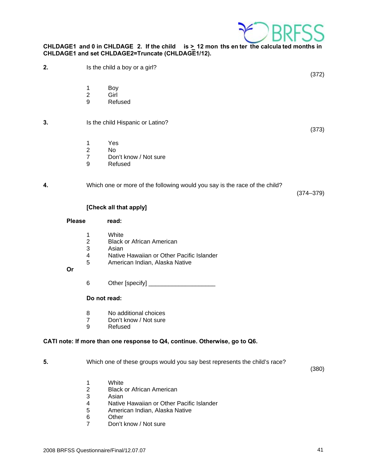

### **CHLDAGE1 and 0 in CHLDAGE 2. If the child is > 12 mon ths en ter the calcula ted months in CHLDAGE1 and set CHLDAGE2=Truncate (CHLDAGE1/12).**

**2.** Is the child a boy or a girl?

1 Boy

- 2 Girl
- 9 Refused

### **3.** Is the child Hispanic or Latino?

- 1 Yes<br>2 No
- $No$
- 7 Don't know / Not sure
- 9 Refused

### **4.** Which one or more of the following would you say is the race of the child?

(374–379)

(372)

(373)

### **[Check all that apply]**

#### Please read:

- 
- 1 White<br>2 Black 2 Black or African American<br>3 Asian
- **Asian**
- 4 Native Hawaiian or Other Pacific Islander
- 5 American Indian, Alaska Native

 **Or** 

6 Other [specify] \_\_\_\_\_\_\_\_\_\_\_\_\_\_\_\_\_\_\_\_

### **Do not read:**

- 8 No additional choices
- 7 Don't know / Not sure<br>9 Refused
- **Refused**

### **CATI note: If more than one response to Q4, continue. Otherwise, go to Q6.**

**5.** Which one of these groups would you say best represents the child's race?

(380)

- 1 White
- 2 Black or African American<br>3 Asian
- 
- 3 Asian<br>4 Native Native Hawaiian or Other Pacific Islander
- 5 American Indian, Alaska Native
- 6 Other<br>7 Don't l
- Don't know / Not sure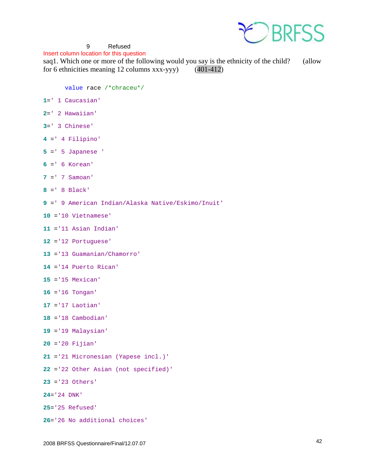

### 9 Refused

Insert column location for this question

saq1. Which one or more of the following would you say is the ethnicity of the child? (allow for 6 ethnicities meaning 12 columns xxx-yyy) (401-412)

value race /\*chraceu\*/

- =' 1 Caucasian'
- =' 2 Hawaiian'
- =' 3 Chinese'
- =' 4 Filipino'
- =' 5 Japanese '
- =' 6 Korean'
- =' 7 Samoan'
- =' 8 Black'
- =' 9 American Indian/Alaska Native/Eskimo/Inuit'
- ='10 Vietnamese'
- ='11 Asian Indian'
- ='12 Portuguese'
- ='13 Guamanian/Chamorro'
- ='14 Puerto Rican'
- ='15 Mexican'
- ='16 Tongan'
- ='17 Laotian'
- ='18 Cambodian'
- ='19 Malaysian'
- ='20 Fijian'
- ='21 Micronesian (Yapese incl.)'
- ='22 Other Asian (not specified)'
- ='23 Others'
- ='24 DNK'
- ='25 Refused'
- ='26 No additional choices'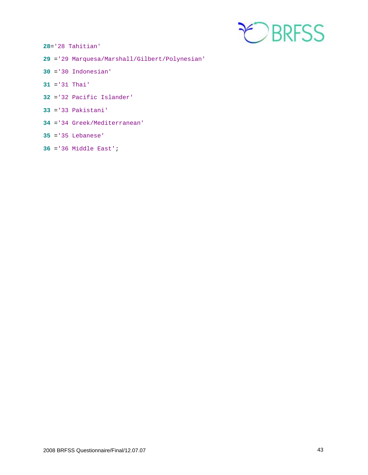

='28 Tahitian'

- ='29 Marquesa/Marshall/Gilbert/Polynesian'
- ='30 Indonesian'
- ='31 Thai'
- ='32 Pacific Islander'
- ='33 Pakistani'
- ='34 Greek/Mediterranean'
- ='35 Lebanese'
- ='36 Middle East';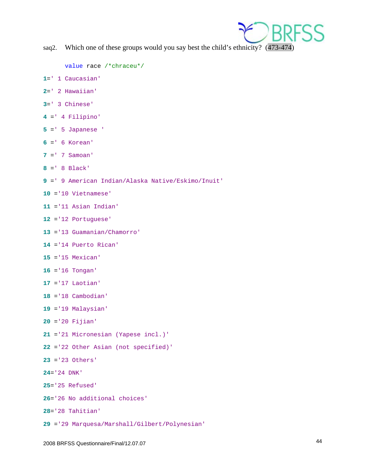

saq2. Which one of these groups would you say best the child's ethnicity? (473-474)

```
value race /*chraceu*/
```
- =' 1 Caucasian'
- =' 2 Hawaiian'
- =' 3 Chinese'
- =' 4 Filipino'
- =' 5 Japanese '
- =' 6 Korean'
- =' 7 Samoan'
- =' 8 Black'
- =' 9 American Indian/Alaska Native/Eskimo/Inuit'
- ='10 Vietnamese'
- ='11 Asian Indian'
- ='12 Portuguese'
- ='13 Guamanian/Chamorro'
- ='14 Puerto Rican'
- ='15 Mexican'
- ='16 Tongan'
- ='17 Laotian'
- ='18 Cambodian'
- ='19 Malaysian'
- ='20 Fijian'
- ='21 Micronesian (Yapese incl.)'
- ='22 Other Asian (not specified)'
- ='23 Others'
- ='24 DNK'
- ='25 Refused'
- ='26 No additional choices'
- ='28 Tahitian'
- ='29 Marquesa/Marshall/Gilbert/Polynesian'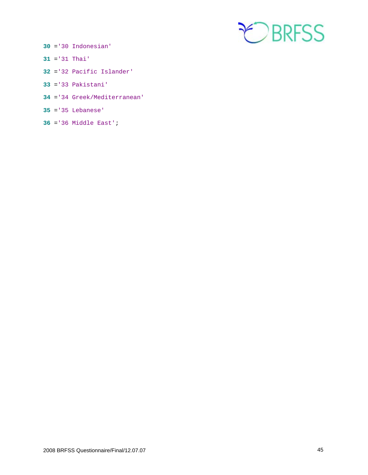

- ='30 Indonesian'
- ='31 Thai'
- ='32 Pacific Islander'
- ='33 Pakistani'
- ='34 Greek/Mediterranean'
- ='35 Lebanese'
- ='36 Middle East';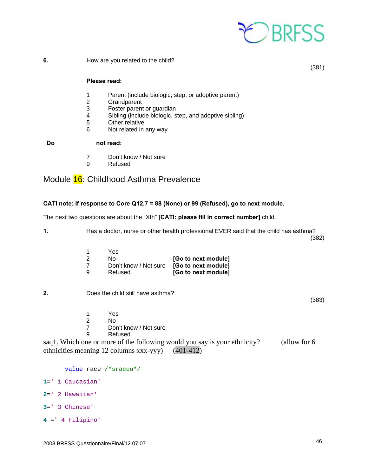

**6. How are you related to the child?** 

(381)

### **Please read:**

- 1 Parent (include biologic, step, or adoptive parent)
- 2 Grandparent<br>3 Foster parent
- Foster parent or guardian
- 4 Sibling (include biologic, step, and adoptive sibling)
- 5 Other relative
- 6 Not related in any way

 **Do not read:** 

- 7 Don't know / Not sure
- 9 Refused

### Module 16: Childhood Asthma Prevalence

### **CATI note: If response to Core Q12.7 = 88 (None) or 99 (Refused), go to next module.**

The next two questions are about the "Xth" **[CATI: please fill in correct number]** child.

**1.** Has a doctor, nurse or other health professional EVER said that the child has asthma?

(382)

|   | Yes                                       |                     |
|---|-------------------------------------------|---------------------|
|   | No.                                       | [Go to next module] |
|   | Don't know / Not sure [Go to next module] |                     |
| a | Refused                                   | [Go to next module] |

**2.** Does the child still have asthma?

(383)

- 1 Yes
- 2 No<br>7 Dor
- Don't know / Not sure
- 9 Refused

saq1. Which one or more of the following would you say is your ethnicity? (allow for 6 ethnicities meaning 12 columns xxx-yyy) (401-412)

value race /\*sraceu\*/ =' 1 Caucasian' =' 2 Hawaiian' =' 3 Chinese' =' 4 Filipino'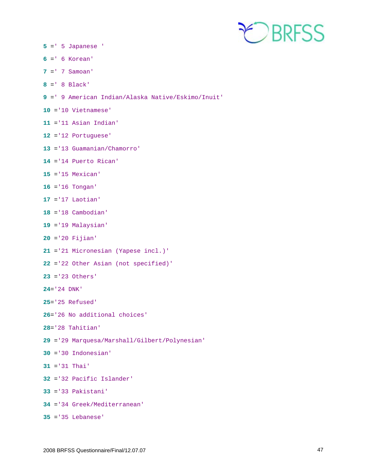

- =' 5 Japanese '
- =' 6 Korean'
- =' 7 Samoan'
- =' 8 Black'
- =' 9 American Indian/Alaska Native/Eskimo/Inuit'
- ='10 Vietnamese'
- ='11 Asian Indian'
- ='12 Portuguese'
- ='13 Guamanian/Chamorro'
- ='14 Puerto Rican'
- ='15 Mexican'
- ='16 Tongan'
- ='17 Laotian'
- ='18 Cambodian'
- ='19 Malaysian'
- ='20 Fijian'
- ='21 Micronesian (Yapese incl.)'
- ='22 Other Asian (not specified)'
- ='23 Others'
- ='24 DNK'
- ='25 Refused'
- ='26 No additional choices'
- ='28 Tahitian'
- ='29 Marquesa/Marshall/Gilbert/Polynesian'
- ='30 Indonesian'
- ='31 Thai'
- ='32 Pacific Islander'
- ='33 Pakistani'
- ='34 Greek/Mediterranean'
- ='35 Lebanese'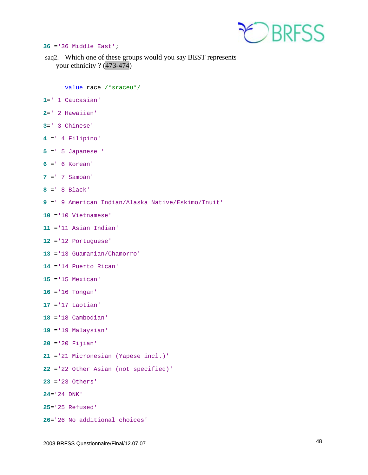

#### ='36 Middle East';

saq2. Which one of these groups would you say BEST represents your ethnicity ? (473-474)

value race /\*sraceu\*/

- =' 1 Caucasian'
- =' 2 Hawaiian'
- =' 3 Chinese'
- =' 4 Filipino'
- =' 5 Japanese '
- =' 6 Korean'
- =' 7 Samoan'
- =' 8 Black'
- =' 9 American Indian/Alaska Native/Eskimo/Inuit'
- ='10 Vietnamese'
- ='11 Asian Indian'
- ='12 Portuguese'
- ='13 Guamanian/Chamorro'
- ='14 Puerto Rican'
- ='15 Mexican'
- ='16 Tongan'
- ='17 Laotian'
- ='18 Cambodian'
- ='19 Malaysian'
- ='20 Fijian'
- ='21 Micronesian (Yapese incl.)'
- ='22 Other Asian (not specified)'
- ='23 Others'
- ='24 DNK'
- ='25 Refused'
- ='26 No additional choices'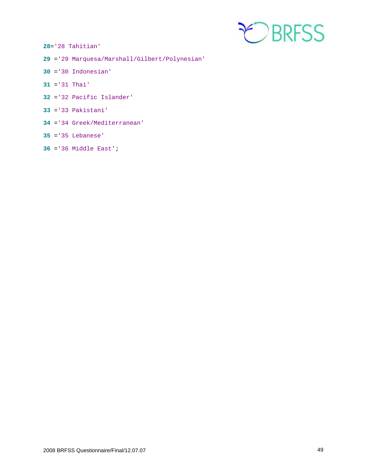

='28 Tahitian'

- ='29 Marquesa/Marshall/Gilbert/Polynesian'
- ='30 Indonesian'
- ='31 Thai'
- ='32 Pacific Islander'
- ='33 Pakistani'
- ='34 Greek/Mediterranean'
- ='35 Lebanese'
- ='36 Middle East';